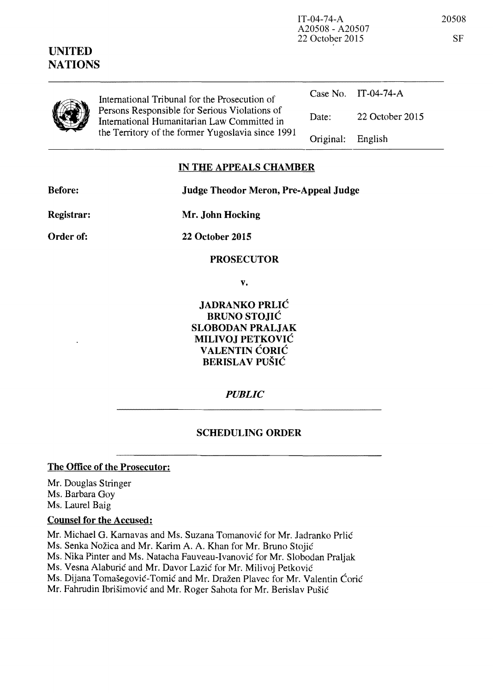| UNITED<br><b>NATIONS</b> |                                                                                                                                                   | A20508 - A20507<br>22 October 2015 |                 | <b>SF</b> |
|--------------------------|---------------------------------------------------------------------------------------------------------------------------------------------------|------------------------------------|-----------------|-----------|
|                          | International Tribunal for the Prosecution of                                                                                                     | Case No.                           | IT-04-74-A      |           |
|                          | Persons Responsible for Serious Violations of<br>International Humanitarian Law Committed in<br>the Territory of the former Yugoslavia since 1991 | Date:                              | 22 October 2015 |           |
|                          |                                                                                                                                                   | Original:                          | English         |           |

## **IN THE APPEALS CHAMBER**

**Before: Judge Theodor Meron, Pre-Appeal Judge** 

**Registrar:** 

**Mr. John Hocking** 

**Order of:** 

**22 October 2015** 

**PROSECUTOR** 

**v.** 

**JADRANKO PRLIC BRUNO STOJIĆ SLOBODAN PRALJAK MILIVOJ PETKOVIC VALENTIN ĆORIĆ BERISLA V PUSIC** 

*PUBLIC* 

## **SCHEDULING ORDER**

## **The Office of the Prosecutor:**

Mr. Douglas Stringer Ms. Barbara Goy Ms. Laurel Baig

## **Counsel for the Accused:**

Mr. Michael G. Kamavas and Ms. Suzana Tomanovic for Mr. ladranko Prlic

Ms. Senka Nozica and Mr. Karim A. A. Khan for Mr. Bruno Stojic

Ms. Nika Pinter and Ms. Natacha Fauveau-Ivanovic for Mr. Slobodan Praljak

Ms. Vesna Alaburic and Mr. Davor Lazic for Mr. Milivoj Petkovic

Ms. Dijana Tomasegovic-Tomic and Mr. Drazen Plavec for Mr. Valentin Coric

Mr. Fahrudin Ibrisimovic and Mr. Roger Sahota for Mr. Berislav Pusic

IT-04-74-A 20508